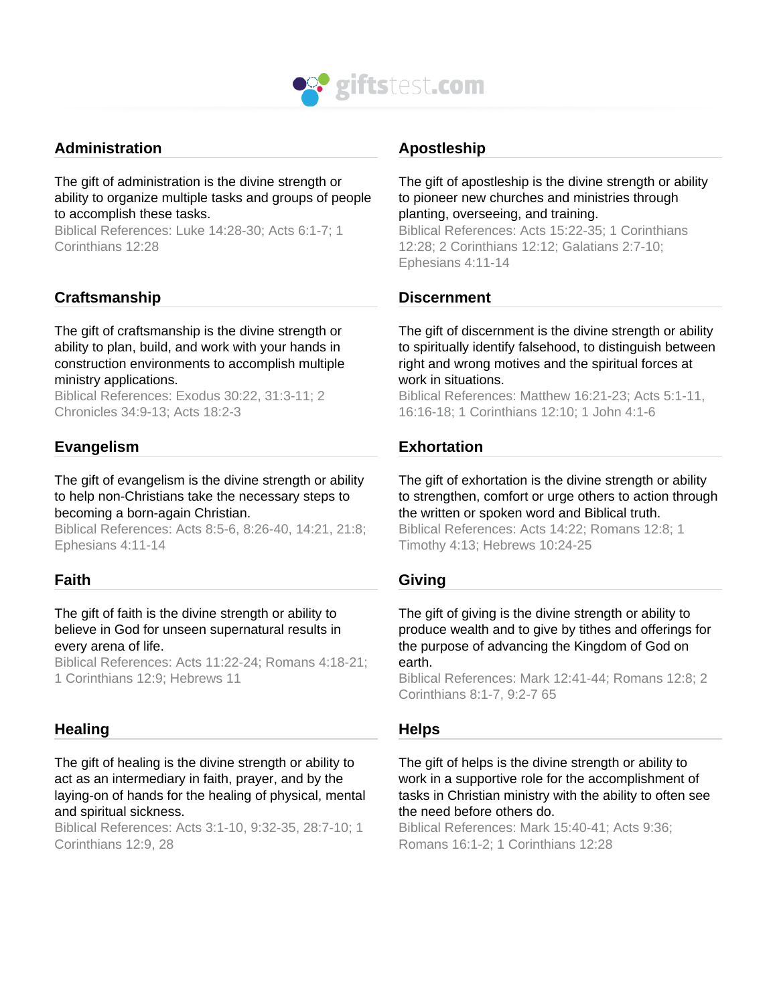

# **Administration**

The gift of administration is the divine strength or ability to organize multiple tasks and groups of people to accomplish these tasks.

Biblical References: Luke 14:28-30; Acts 6:1-7; 1 Corinthians 12:28

# **Craftsmanship**

The gift of craftsmanship is the divine strength or ability to plan, build, and work with your hands in construction environments to accomplish multiple ministry applications.

Biblical References: Exodus 30:22, 31:3-11; 2 Chronicles 34:9-13; Acts 18:2-3

# **Evangelism**

The gift of evangelism is the divine strength or ability to help non-Christians take the necessary steps to becoming a born-again Christian.

Biblical References: Acts 8:5-6, 8:26-40, 14:21, 21:8; Ephesians 4:11-14

# **Faith**

#### The gift of faith is the divine strength or ability to believe in God for unseen supernatural results in every arena of life.

Biblical References: Acts 11:22-24; Romans 4:18-21; 1 Corinthians 12:9; Hebrews 11

# **Healing**

The gift of healing is the divine strength or ability to act as an intermediary in faith, prayer, and by the laying-on of hands for the healing of physical, mental and spiritual sickness.

Biblical References: Acts 3:1-10, 9:32-35, 28:7-10; 1 Corinthians 12:9, 28

# **Apostleship**

The gift of apostleship is the divine strength or ability to pioneer new churches and ministries through planting, overseeing, and training.

Biblical References: Acts 15:22-35; 1 Corinthians 12:28; 2 Corinthians 12:12; Galatians 2:7-10; Ephesians 4:11-14

# **Discernment**

The gift of discernment is the divine strength or ability to spiritually identify falsehood, to distinguish between right and wrong motives and the spiritual forces at work in situations.

Biblical References: Matthew 16:21-23; Acts 5:1-11, 16:16-18; 1 Corinthians 12:10; 1 John 4:1-6

# **Exhortation**

The gift of exhortation is the divine strength or ability to strengthen, comfort or urge others to action through the written or spoken word and Biblical truth.

Biblical References: Acts 14:22; Romans 12:8; 1 Timothy 4:13; Hebrews 10:24-25

# **Giving**

The gift of giving is the divine strength or ability to produce wealth and to give by tithes and offerings for the purpose of advancing the Kingdom of God on earth.

Biblical References: Mark 12:41-44; Romans 12:8; 2 Corinthians 8:1-7, 9:2-7 65

# **Helps**

The gift of helps is the divine strength or ability to work in a supportive role for the accomplishment of tasks in Christian ministry with the ability to often see the need before others do.

Biblical References: Mark 15:40-41; Acts 9:36; Romans 16:1-2; 1 Corinthians 12:28